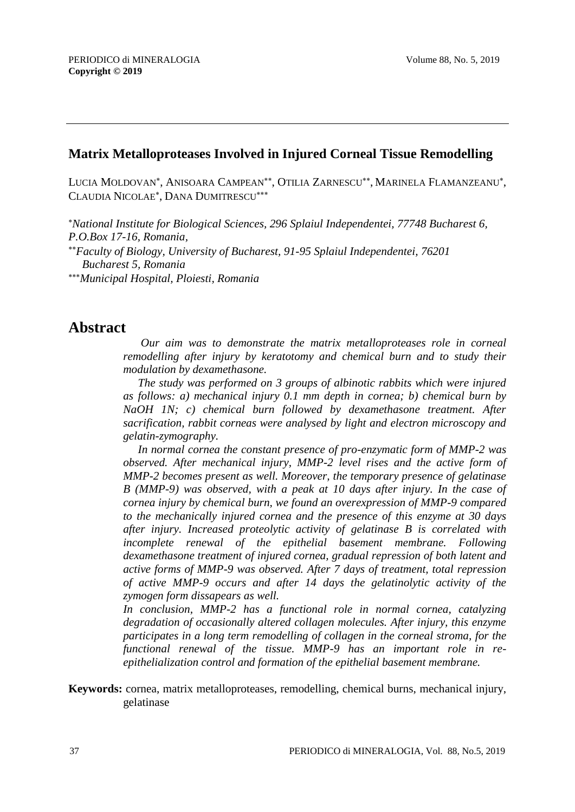### **Matrix Metalloproteases Involved in Injured Corneal Tissue Remodelling**

LUCIA MOLDOVAN\*, ANISOARA CAMPEAN\*\*, OTILIA ZARNESCU\*\*, MARINELA FLAMANZEANU\*, CLAUDIA NICOLAE<sup>\*</sup>, DANA DUMITRESCU<sup>\*\*\*</sup>

*National Institute for Biological Sciences, 296 Splaiul Independentei, 77748 Bucharest 6, P.O.Box 17-16, Romania,*

*Faculty of Biology, University of Bucharest, 91-95 Splaiul Independentei, 76201 Bucharest 5, Romania*

*Municipal Hospital, Ploiesti, Romania*

## **Abstract**

 *Our aim was to demonstrate the matrix metalloproteases role in corneal remodelling after injury by keratotomy and chemical burn and to study their modulation by dexamethasone.*

*The study was performed on 3 groups of albinotic rabbits which were injured as follows: a) mechanical injury 0.1 mm depth in cornea; b) chemical burn by NaOH 1N; c) chemical burn followed by dexamethasone treatment. After sacrification, rabbit corneas were analysed by light and electron microscopy and gelatin-zymography.*

*In normal cornea the constant presence of pro-enzymatic form of MMP-2 was observed. After mechanical injury, MMP-2 level rises and the active form of MMP-2 becomes present as well. Moreover, the temporary presence of gelatinase B (MMP-9) was observed, with a peak at 10 days after injury. In the case of cornea injury by chemical burn, we found an overexpression of MMP-9 compared to the mechanically injured cornea and the presence of this enzyme at 30 days after injury. Increased proteolytic activity of gelatinase B is correlated with incomplete renewal of the epithelial basement membrane. Following dexamethasone treatment of injured cornea, gradual repression of both latent and active forms of MMP-9 was observed. After 7 days of treatment, total repression of active MMP-9 occurs and after 14 days the gelatinolytic activity of the zymogen form dissapears as well.*

*In conclusion, MMP-2 has a functional role in normal cornea, catalyzing degradation of occasionally altered collagen molecules. After injury, this enzyme participates in a long term remodelling of collagen in the corneal stroma, for the functional renewal of the tissue. MMP-9 has an important role in reepithelialization control and formation of the epithelial basement membrane.* 

**Keywords:** cornea, matrix metalloproteases, remodelling, chemical burns, mechanical injury, gelatinase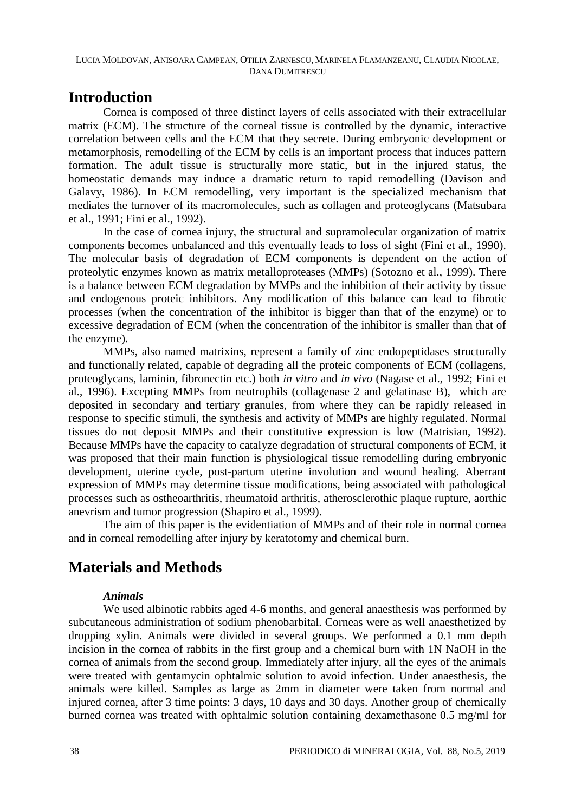## **Introduction**

Cornea is composed of three distinct layers of cells associated with their extracellular matrix (ECM). The structure of the corneal tissue is controlled by the dynamic, interactive correlation between cells and the ECM that they secrete. During embryonic development or metamorphosis, remodelling of the ECM by cells is an important process that induces pattern formation. The adult tissue is structurally more static, but in the injured status, the homeostatic demands may induce a dramatic return to rapid remodelling (Davison and Galavy, 1986). In ECM remodelling, very important is the specialized mechanism that mediates the turnover of its macromolecules, such as collagen and proteoglycans (Matsubara et al., 1991; Fini et al., 1992).

In the case of cornea injury, the structural and supramolecular organization of matrix components becomes unbalanced and this eventually leads to loss of sight (Fini et al., 1990). The molecular basis of degradation of ECM components is dependent on the action of proteolytic enzymes known as matrix metalloproteases (MMPs) (Sotozno et al., 1999). There is a balance between ECM degradation by MMPs and the inhibition of their activity by tissue and endogenous proteic inhibitors. Any modification of this balance can lead to fibrotic processes (when the concentration of the inhibitor is bigger than that of the enzyme) or to excessive degradation of ECM (when the concentration of the inhibitor is smaller than that of the enzyme).

MMPs, also named matrixins, represent a family of zinc endopeptidases structurally and functionally related, capable of degrading all the proteic components of ECM (collagens, proteoglycans, laminin, fibronectin etc.) both *in vitro* and *in vivo* (Nagase et al., 1992; Fini et al., 1996). Excepting MMPs from neutrophils (collagenase 2 and gelatinase B), which are deposited in secondary and tertiary granules, from where they can be rapidly released in response to specific stimuli, the synthesis and activity of MMPs are highly regulated. Normal tissues do not deposit MMPs and their constitutive expression is low (Matrisian, 1992). Because MMPs have the capacity to catalyze degradation of structural components of ECM, it was proposed that their main function is physiological tissue remodelling during embryonic development, uterine cycle, post-partum uterine involution and wound healing. Aberrant expression of MMPs may determine tissue modifications, being associated with pathological processes such as ostheoarthritis, rheumatoid arthritis, atherosclerothic plaque rupture, aorthic anevrism and tumor progression (Shapiro et al., 1999).

The aim of this paper is the evidentiation of MMPs and of their role in normal cornea and in corneal remodelling after injury by keratotomy and chemical burn.

# **Materials and Methods**

### *Animals*

We used albinotic rabbits aged 4-6 months, and general anaesthesis was performed by subcutaneous administration of sodium phenobarbital. Corneas were as well anaesthetized by dropping xylin. Animals were divided in several groups. We performed a 0.1 mm depth incision in the cornea of rabbits in the first group and a chemical burn with 1N NaOH in the cornea of animals from the second group. Immediately after injury, all the eyes of the animals were treated with gentamycin ophtalmic solution to avoid infection. Under anaesthesis, the animals were killed. Samples as large as 2mm in diameter were taken from normal and injured cornea, after 3 time points: 3 days, 10 days and 30 days. Another group of chemically burned cornea was treated with ophtalmic solution containing dexamethasone 0.5 mg/ml for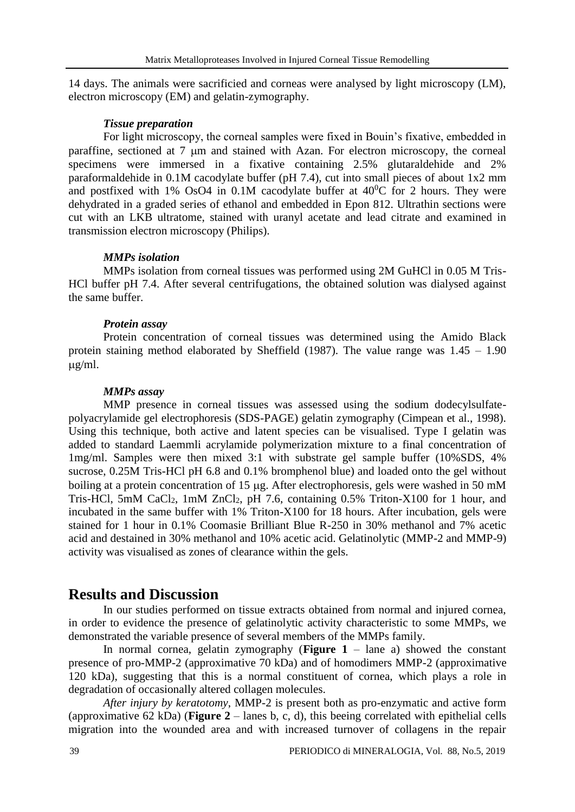14 days. The animals were sacrificied and corneas were analysed by light microscopy (LM), electron microscopy (EM) and gelatin-zymography.

#### *Tissue preparation*

For light microscopy, the corneal samples were fixed in Bouin's fixative, embedded in paraffine, sectioned at 7  $\mu$ m and stained with Azan. For electron microscopy, the corneal specimens were immersed in a fixative containing 2.5% glutaraldehide and 2% paraformaldehide in 0.1M cacodylate buffer (pH 7.4), cut into small pieces of about 1x2 mm and postfixed with 1% OsO4 in  $0.1M$  cacodylate buffer at  $40^{\circ}$ C for 2 hours. They were dehydrated in a graded series of ethanol and embedded in Epon 812. Ultrathin sections were cut with an LKB ultratome, stained with uranyl acetate and lead citrate and examined in transmission electron microscopy (Philips).

#### *MMPs isolation*

MMPs isolation from corneal tissues was performed using 2M GuHCl in 0.05 M Tris-HCl buffer pH 7.4. After several centrifugations, the obtained solution was dialysed against the same buffer.

#### *Protein assay*

Protein concentration of corneal tissues was determined using the Amido Black protein staining method elaborated by Sheffield (1987). The value range was 1.45 – 1.90  $\mu$ g/ml.

#### *MMPs assay*

MMP presence in corneal tissues was assessed using the sodium dodecylsulfatepolyacrylamide gel electrophoresis (SDS-PAGE) gelatin zymography (Cimpean et al., 1998). Using this technique, both active and latent species can be visualised. Type I gelatin was added to standard Laemmli acrylamide polymerization mixture to a final concentration of 1mg/ml. Samples were then mixed 3:1 with substrate gel sample buffer (10%SDS, 4% sucrose, 0.25M Tris-HCl pH 6.8 and 0.1% bromphenol blue) and loaded onto the gel without boiling at a protein concentration of 15 µg. After electrophoresis, gels were washed in 50 mM Tris-HCl, 5mM CaCl2, 1mM ZnCl2, pH 7.6, containing 0.5% Triton-X100 for 1 hour, and incubated in the same buffer with 1% Triton-X100 for 18 hours. After incubation, gels were stained for 1 hour in 0.1% Coomasie Brilliant Blue R-250 in 30% methanol and 7% acetic acid and destained in 30% methanol and 10% acetic acid. Gelatinolytic (MMP-2 and MMP-9) activity was visualised as zones of clearance within the gels.

## **Results and Discussion**

In our studies performed on tissue extracts obtained from normal and injured cornea, in order to evidence the presence of gelatinolytic activity characteristic to some MMPs, we demonstrated the variable presence of several members of the MMPs family.

In normal cornea, gelatin zymography (**Figure 1** – lane a) showed the constant presence of pro-MMP-2 (approximative 70 kDa) and of homodimers MMP-2 (approximative 120 kDa), suggesting that this is a normal constituent of cornea, which plays a role in degradation of occasionally altered collagen molecules.

*After injury by keratotomy*, MMP-2 is present both as pro-enzymatic and active form (approximative 62 kDa) (**Figure 2** – lanes b, c, d), this beeing correlated with epithelial cells migration into the wounded area and with increased turnover of collagens in the repair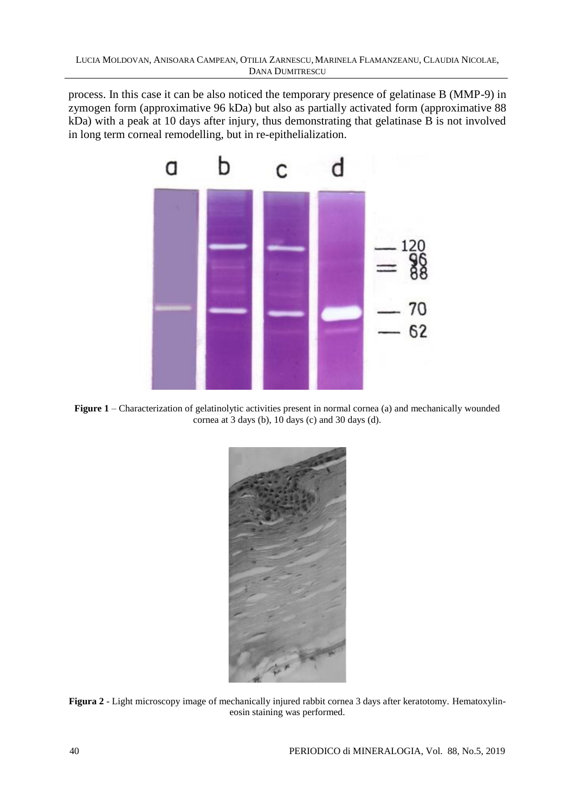process. In this case it can be also noticed the temporary presence of gelatinase B (MMP-9) in zymogen form (approximative 96 kDa) but also as partially activated form (approximative 88 kDa) with a peak at 10 days after injury, thus demonstrating that gelatinase B is not involved in long term corneal remodelling, but in re-epithelialization.



**Figure 1** – Characterization of gelatinolytic activities present in normal cornea (a) and mechanically wounded cornea at 3 days (b), 10 days (c) and 30 days (d).



**Figura 2** - Light microscopy image of mechanically injured rabbit cornea 3 days after keratotomy. Hematoxylineosin staining was performed.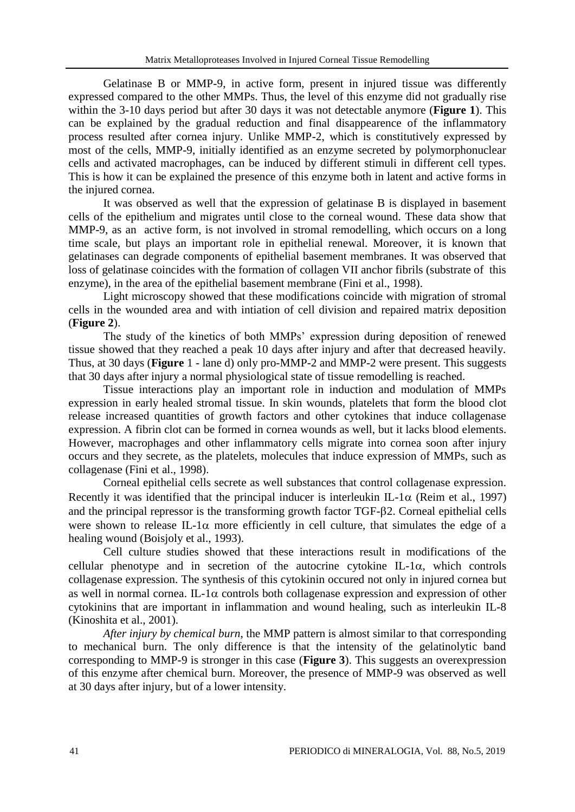Gelatinase B or MMP-9, in active form, present in injured tissue was differently expressed compared to the other MMPs. Thus, the level of this enzyme did not gradually rise within the 3-10 days period but after 30 days it was not detectable anymore (**Figure 1**). This can be explained by the gradual reduction and final disappearence of the inflammatory process resulted after cornea injury. Unlike MMP-2, which is constitutively expressed by most of the cells, MMP-9, initially identified as an enzyme secreted by polymorphonuclear cells and activated macrophages, can be induced by different stimuli in different cell types. This is how it can be explained the presence of this enzyme both in latent and active forms in the injured cornea.

It was observed as well that the expression of gelatinase B is displayed in basement cells of the epithelium and migrates until close to the corneal wound. These data show that MMP-9, as an active form, is not involved in stromal remodelling, which occurs on a long time scale, but plays an important role in epithelial renewal. Moreover, it is known that gelatinases can degrade components of epithelial basement membranes. It was observed that loss of gelatinase coincides with the formation of collagen VII anchor fibrils (substrate of this enzyme), in the area of the epithelial basement membrane (Fini et al., 1998).

Light microscopy showed that these modifications coincide with migration of stromal cells in the wounded area and with intiation of cell division and repaired matrix deposition (**Figure 2**).

The study of the kinetics of both MMPs' expression during deposition of renewed tissue showed that they reached a peak 10 days after injury and after that decreased heavily. Thus, at 30 days (**Figure** 1 - lane d) only pro-MMP-2 and MMP-2 were present. This suggests that 30 days after injury a normal physiological state of tissue remodelling is reached.

Tissue interactions play an important role in induction and modulation of MMPs expression in early healed stromal tissue. In skin wounds, platelets that form the blood clot release increased quantities of growth factors and other cytokines that induce collagenase expression. A fibrin clot can be formed in cornea wounds as well, but it lacks blood elements. However, macrophages and other inflammatory cells migrate into cornea soon after injury occurs and they secrete, as the platelets, molecules that induce expression of MMPs, such as collagenase (Fini et al., 1998).

Corneal epithelial cells secrete as well substances that control collagenase expression. Recently it was identified that the principal inducer is interleukin IL-1 $\alpha$  (Reim et al., 1997) and the principal repressor is the transforming growth factor TGF-2. Corneal epithelial cells were shown to release IL-1 $\alpha$  more efficiently in cell culture, that simulates the edge of a healing wound (Boisjoly et al., 1993).

Cell culture studies showed that these interactions result in modifications of the cellular phenotype and in secretion of the autocrine cytokine IL-1 $\alpha$ , which controls collagenase expression. The synthesis of this cytokinin occured not only in injured cornea but as well in normal cornea. IL-1 $\alpha$  controls both collagenase expression and expression of other cytokinins that are important in inflammation and wound healing, such as interleukin IL-8 (Kinoshita et al., 2001).

*After injury by chemical burn*, the MMP pattern is almost similar to that corresponding to mechanical burn. The only difference is that the intensity of the gelatinolytic band corresponding to MMP-9 is stronger in this case (**Figure 3**). This suggests an overexpression of this enzyme after chemical burn. Moreover, the presence of MMP-9 was observed as well at 30 days after injury, but of a lower intensity.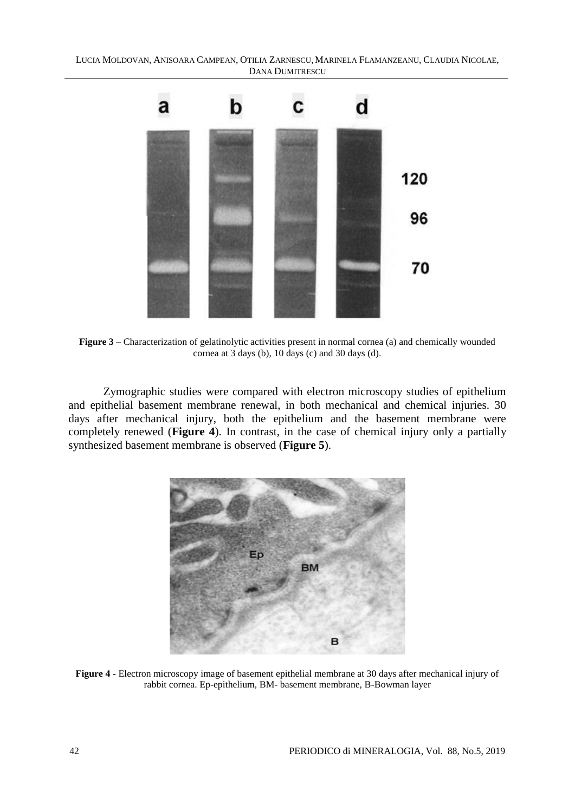LUCIA MOLDOVAN, ANISOARA CAMPEAN, OTILIA ZARNESCU,MARINELA FLAMANZEANU, CLAUDIA NICOLAE, DANA DUMITRESCU



**Figure 3** – Characterization of gelatinolytic activities present in normal cornea (a) and chemically wounded cornea at 3 days (b), 10 days (c) and 30 days (d).

Zymographic studies were compared with electron microscopy studies of epithelium and epithelial basement membrane renewal, in both mechanical and chemical injuries. 30 days after mechanical injury, both the epithelium and the basement membrane were completely renewed (**Figure 4**). In contrast, in the case of chemical injury only a partially synthesized basement membrane is observed (**Figure 5**).



**Figure 4 -** Electron microscopy image of basement epithelial membrane at 30 days after mechanical injury of rabbit cornea. Ep-epithelium, BM- basement membrane, B-Bowman layer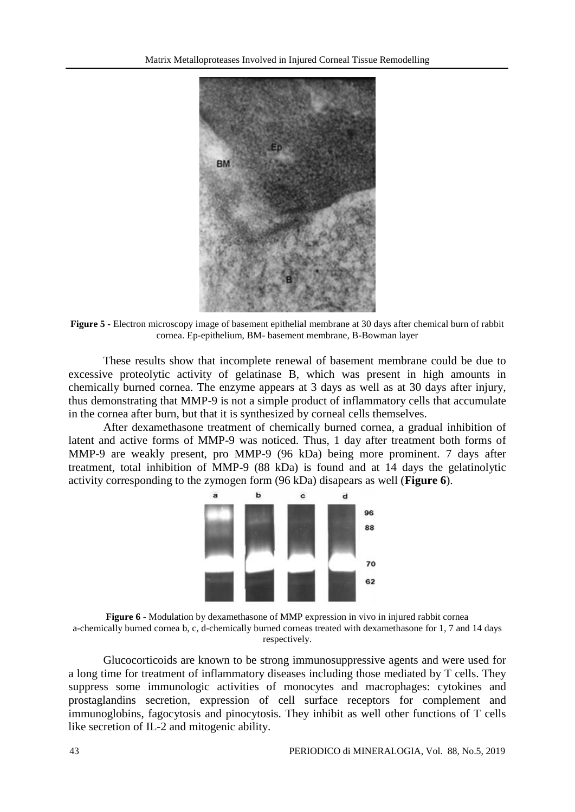

**Figure 5 -** Electron microscopy image of basement epithelial membrane at 30 days after chemical burn of rabbit cornea. Ep-epithelium, BM- basement membrane, B-Bowman layer

These results show that incomplete renewal of basement membrane could be due to excessive proteolytic activity of gelatinase B, which was present in high amounts in chemically burned cornea. The enzyme appears at 3 days as well as at 30 days after injury, thus demonstrating that MMP-9 is not a simple product of inflammatory cells that accumulate in the cornea after burn, but that it is synthesized by corneal cells themselves.

After dexamethasone treatment of chemically burned cornea, a gradual inhibition of latent and active forms of MMP-9 was noticed. Thus, 1 day after treatment both forms of MMP-9 are weakly present, pro MMP-9 (96 kDa) being more prominent. 7 days after treatment, total inhibition of MMP-9 (88 kDa) is found and at 14 days the gelatinolytic activity corresponding to the zymogen form (96 kDa) disapears as well (**Figure 6**).



**Figure 6 -** Modulation by dexamethasone of MMP expression in vivo in injured rabbit cornea a-chemically burned cornea b, c, d-chemically burned corneas treated with dexamethasone for 1, 7 and 14 days respectively.

Glucocorticoids are known to be strong immunosuppressive agents and were used for a long time for treatment of inflammatory diseases including those mediated by T cells. They suppress some immunologic activities of monocytes and macrophages: cytokines and prostaglandins secretion, expression of cell surface receptors for complement and immunoglobins, fagocytosis and pinocytosis. They inhibit as well other functions of T cells like secretion of IL-2 and mitogenic ability.